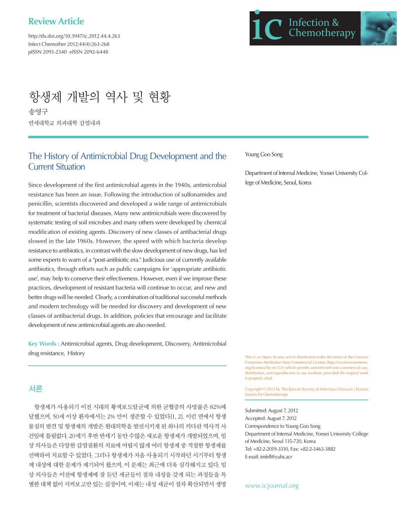# **Review Article**

http://dx.doi.org/10.3947/ic.2012.44.4.263 Infect Chemother 2012;44(4):263-268 pISSN 2093-2340 eISSN 2092-6448



# 항생제 개발의 역사 및 현황

송영구 연세대학교 의과대학 감염내과

# The History of Antimicrobial Drug Development and the Current Situation

Since development of the first antimicrobial agents in the 1940s, antimicrobial resistance has been an issue. Following the introduction of sulfonamides and penicillin, scientists discovered and developed a wide range of antimicrobials for treatment of bacterial diseases. Many new antimicrobials were discovered by systematic testing of soil microbes and many others were developed by chemical modification of existing agents. Discovery of new classes of antibacterial drugs slowed in the late 1960s. However, the speed with which bacteria develop resistance to antibiotics, in contrast with the slow development of new drugs, has led some experts to warn of a "post-antibiotic era." Judicious use of currently available antibiotics, through efforts such as public campaigns for 'appropriate antibiotic use', may help to conserve their effectiveness. However, even if we improve these practices, development of resistant bacteria will continue to occur, and new and better drugs will be needed. Clearly, a combination of traditional successful methods and modern technology will be needed for discovery and development of new classes of antibacterial drugs. In addition, policies that encourage and facilitate development of new antimicrobial agents are also needed.

**Key Words :** Antimicrobial agents, Drug development, Discovery, Antimicrobial drug resistance, History

## 서론

항생제가 사용되기 이전 시대의 황색포도알균에 의한 균혈증의 사망률은 82%에 달했으며, 50세 이상 환자에서는 2% 만이 생존할 수 있었다[1, 2]. 이런 면에서 항생 물질의 발견 및 항생제의 개발은 현대의학을 발전시키게 된 하나의 커다란 역사적 사 건임에 틀림없다. 20세기 후반 반세기 동안 수많은 새로운 항생제가 개발되었으며, 임 상 의사들은 다양한 감염질환의 치료에 어렵지 않게 여러 항생제 중 적절한 항생제를 선택하여 치료할 수 있었다. 그러나 항생제가 처음 사용되기 시작하던 시기부터 항생 제 내성에 대한 문제가 제기되어 왔으며, 이 문제는 최근에 더욱 심각해지고 있다. 임 상 의사들은 이전에 항생제에 잘 듣던 세균들이 점차 내성을 갖게 되는 과정들을 특 별한 대책 없이 지켜보고만 있는 실정이며, 이제는 내성 세균이 점차 확산되면서 생명

#### Young Goo Song

Department of Internal Medicine, Yonsei University College of Medicine, Seoul, Korea

This is an Open Access article distributed under the terms of the Creative Commons Attribution Non-Commercial License (http://creativecommons. org/licenses/by-nc/3.0) which permits unrestricted non-commercial use, distribution, and reproduction in any medium, provided the original work is properly cited.

Copyright © 2012 by The Korean Society of Infectious Diseases | Korean Society for Chemotherapy

Submitted: August 7, 2012 Accepted: August 7, 2012 Correspondence to Young Goo Song Department of Internal Medicine, Yonsei University College of Medicine, Seoul 135-720, Korea Tel: +82-2-2019-3310, Fax: +82-2-3463-3882 E-mail: imfell@yuhs.acr

www.icjournal.org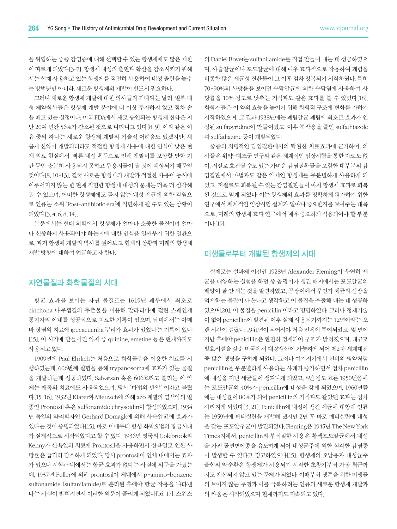을 위협하는 중증 감염증에 대해 선택할 수 있는 항생제에도 많은 제한 이 따르게 되었다[3-7]. 항생제 내성의 출현과 확산을 감소시키기 위해 서는 현재 사용하고 있는 항생제를 적절히 사용하여 내성 출현을 늦추 는 방법뿐만 아니라, 새로운 항생제의 개발이 반드시 필요하다.

그러나 새로운 항생제 개발에 대한 의사들의 기대와는 달리, 일부 대 형 제약회사들은 항생제 개발 분야에 더 이상 투자하지 않고 점차 손 을 떼고 있는 실정이다. 미국 FDA에서 새로 승인되는 항생제 신약은 지 난 20여 년간 56%가 감소된 것으로 나타나고 있다[8, 9]. 이와 같은 이 유 중의 하나는 새로운 항생제 개발의 기술적 어려움도 있겠지만, 새 롭게 신약이 개발되더라도 적절한 항생제 사용에 대한 인식이 낮은 현 재 의료 현실에서, 빠른 내성 획득으로 인해 개발비를 보상할 만한 기 간 동안 충분히 사용되지 못하고 무용지물이 될 것이 예상되기 때문일 것이다[8, 10-13]. 결국 새로운 항생제의 개발과 적절한 사용이 동시에 이루어지지 않는 한 현재 직면한 항생제 내성의 문제는 더욱 더 심각해 질 수 있으며, 어떠한 항생제에도 듣지 않는 내성 세균에 의한 감염으 로 인류는 소위 'Post-antibiotic era'에 직면하게 될 수도 있는 상황이 되었다[3, 4, 6, 8, 14].

본문에서는 현대 의학에서 항생제가 얼마나 소중한 물질이며 얼마 나 신중하게 사용되어야 하는지에 대한 인식을 일깨우기 위한 일환으 로, 과거 항생제 개발의 역사를 짚어보고 현재의 상황과 미래의 항생제 개발 방향에 대하여 언급하고자 한다.

### 자연물질과 화학물질의 시대

항균 효과를 보이는 자연 물질로는 1619년 페루에서 최초로 cinchona 나무껍질의 추출물을 이용해 말라리아에 걸린 스페인계 통치자의 아내를 성공적으로 치료한 기록이 있으며, 남미에서는 아메 바 장염의 치료에 ipecacuanha 뿌리가 효과가 있었다는 기록이 있다 [15]. 이 시기에 만들어진 약제 중 quinine, emetine 등은 현재까지도 사용되고 있다.

1909년에 Paul Ehrlich는 처음으로 화학물질을 이용한 치료를 시 행하였는데, 606번째 실험을 통해 trypanosoma에 효과가 있는 물질 을 개발하는데 성공하였다. Salvarsan 혹은 606호라고 불리는 이 약 제는 매독의 치료에도 사용되었으며, 당시 '마법의 탄알' 이라고 불렸 다[15, 16]. 1932년 Klarer와 Mietzsch에 의해 azo 계열의 염색약의 일 종인 Prontosil 혹은 sulfonamido chrysoidin이 합성되었으며, 1934 년 독일의 약리학자인 Gerhard Domagk에 의해 사슬알균에 효과가 있다는 것이 증명되었다[15]. 바로 이때부터 항생 화학요법의 황금시대 가 실제적으로 시작되었다고 할 수 있다. 1936년 영국의 Colebrook와 Kenny가 산욕열의 치료에 Prontosil을 사용하면서 산욕열로 인한 사 망률은 급격히 감소하게 되었다. 당시 prontosil이 인체 내에서는 효과 가 있으나 시험관 내에서는 항균 효과가 없다는 사실에 의문을 가졌는 데, 1937년 Fuller에 의해 prontosil이 체내에서 p-amino-benzene sulfonamide (sulfanilamide)로 분리된 후에야 항균 작용을 나타낸 다는 사실이 밝혀지면서 이러한 의문이 풀리게 되었다[16, 17]. 스위스

의 Daniel Bovet는 sulfanilamide를 직접 만들어 내는 데 성공하였으 며, 사슬알균이나 포도알균에 대해 매우 효과적으로 작용하여 폐렴을 비롯한 많은 세균성 질환들이 그 이후 점차 정복되기 시작하였다. 특히 70-90%의 사망률을 보이던 수막알균에 의한 수막염에 사용하여 사 망률을 10% 정도로 낮추는 기적과도 같은 효과를 볼 수 있었다[18]. 화학자들은 이 약의 효능을 높이기 위해 화학적 구조에 변화를 가하기 시작하였으며, 그 결과 1938년에는 폐렴알균 폐렴에 최초로 효과가 인 정된 sulfapyridine이 만들어졌고, 이후 부작용을 줄인 sulfathiazole 과 sulfadiazine 등이 개발되었다.

중증의 치명적인 감염질환에서의 탁월한 치료효과에 근거하여, 의 사들은 위약-대조군 연구와 같은 체계적인 임상시험을 통한 자료도 없 이, 저절로 호전될 수도 있는 가벼운 감염질환들을 포함한 대부분의 감 염질환에서 마법과도 같은 약제인 항생제를 무분별하게 사용하게 되 었고, 저절로도 회복될 수 있는 감염질환들이 마치 항생제 효과로 회복 된 것으로 믿게 되었다. 이는 항생제의 효과를 정확하게 평가하기 위한 연구에서 체계적인 임상시험 설계가 얼마나 중요한지를 보여주는 대목 으로, 미래의 항생제 효과 연구에서 매우 중요하게 적용되어야 할 부분 이다[19].

#### 미생물로부터 개발된 항생제의 시대

실제로는 설파제 이전인 1928년 Alexander Fleming이 우연히 세 균을 배양하는 실험을 하던 중 곰팡이가 생긴 배지에서는 포도알균의 배양이 잘 안 되는 것을 발견하였고, 곰팡이에서 무언가 세균의 성장을 억제하는 물질이 나온다고 생각하고 이 물질을 추출해 내는 데 성공하 였으며[20], 이 물질을 penicillin 이라고 명명하였다. 그러나 정제기술 이 없어 penicillin이 발견된 이후 실제 사용되기까지는 12년이라는 오 랜 시간이 걸렸다. 1941년이 되어서야 처음 인체에 투여되었고, 몇 년이 지난 후에야 penicillin은 완전히 정제되어 구조가 밝혀졌으며, 대규모 발효시설을 갖춘 미국에서 대량생산이 가능하게 되어 제2차 세계대전 중 많은 생명을 구하게 되었다. 그러나 여기저기에서 신비의 명약처럼 penicillin을 무분별하게 사용하는 사례가 증가하면서 점차 penicillin 에 내성을 지닌 세균들이 생겨나게 되었고, 8년 정도 흐른 1950년쯤에 는 포도알균의 40%가 penicillin에 내성을 갖게 되었으며, 1960년쯤 에는 내성률이 80%가 되어 penicillin의 기적과도 같았던 효과는 점차 사라지게 되었다[3, 21]. Penicillin에 내성이 생긴 세균에 대항해 인류 는 1959년에 메티실린을 개발해 냈지만 2년 후 바로 메티실린에 내성 을 갖는 포도알구균이 발견되었다. Fleming은 1945년 The New York Times지에서, penicillin의 부적절한 사용은 황색포도알균에서 내성 을 가진 돌연변이종을 유도하게 되어 내성균주에 의한 심각한 감염증 이 발생할 수 있다고 경고하였으나[15], 항생제의 오남용과 내성균주 출현의 악순환은 항생제가 사용되기 시작한 초창기부터 가장 최근까 지도 개선되지 않고 있는 문제가 되었다. 이때부터 생존을 위한 미생물 의 보이지 않는 투쟁과 이를 극복하려는 인류의 새로운 항생제 개발과 의 싸움은 시작되었으며 현재까지도 지속되고 있다.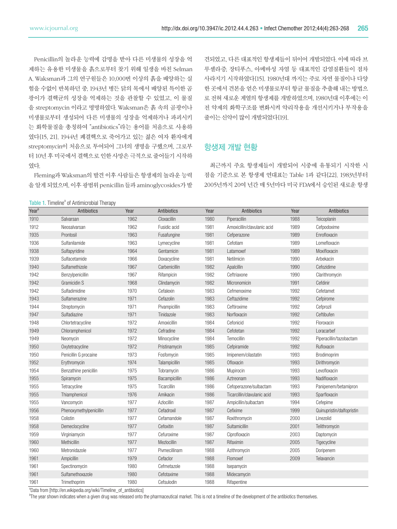Penicillin의 놀라운 능력에 감명을 받아 다른 미생물의 성장을 억 제하는 유용한 미생물을 흙으로부터 찾기 위해 일생을 바친 Selman A. Waksman과 그의 연구원들은 10,000번 이상의 흙을 배양하는 실 험을 수없이 반복하던 중, 1943년 병든 닭의 목에서 배양된 특이한 곰 팡이가 결핵균의 성장을 억제하는 것을 관찰할 수 있었고, 이 물질 을 streptomycin 이라고 명명하였다. Waksman은 흙 속의 곰팡이나 미생물로부터 생성되어 다른 미생물의 성장을 억제하거나 파괴시키 는 화학물질을 총칭하여 "antibiotics"라는 용어를 처음으로 사용하 였다[15, 21]. 1944년 폐결핵으로 죽어가고 있는 젊은 여자 환자에게 streptomycin이 처음으로 투여되어 그녀의 생명을 구했으며, 그로부 터 10년 후 미국에서 결핵으로 인한 사망은 극적으로 줄어들기 시작하 였다.

Fleming과 Waksman의 발견 이후 사람들은 항생제의 놀라운 능력 을 알게 되었으며, 이후 광범위 penicillin 들과 aminoglycosides가 발

견되었고, 다른 대표적인 항생제들이 뒤이어 개발되었다. 이에 따라 브 루셀라증, 장티푸스, 아메바성 자염 등 대표적인 감염질환들이 점차 사라지기 시작하였다[15]. 1980년대 까지는 주로 자연 물질이나 다양 한 곳에서 견본을 얻은 미생물로부터 항균 물질을 추출해 내는 방법으 로 전혀 새로운 계열의 항생제를 개발하였으며, 1980년대 이후에는 이 전 약제의 화학구조를 변화시켜 약리작용을 개선시키거나 부작용을 줄이는 신약이 많이 개발되었다[19].

#### 항생제 개발 현황

최근까지 주요 항생제들이 개발되어 시중에 유통되기 시작한 시 점을 기준으로 본 항생제 연대표는 Table 1과 같다[22]. 1983년부터 2005년까지 20여 년간 매 5년마다 미국 FDA에서 승인된 새로운 항생

Table 1. Timeline<sup>a</sup> of Antimicrobial Therapy

| Year <sup>b</sup> | Antibiotics                                                     | Year | <b>Antibiotics</b> | Year | Antibiotics                 | Year | Antibiotics               |
|-------------------|-----------------------------------------------------------------|------|--------------------|------|-----------------------------|------|---------------------------|
| 1910              | Salvarsan                                                       | 1962 | Cloxacillin        | 1980 | Piperacillin                | 1988 | Teicoplanin               |
| 1912              | Neosalvarsan                                                    | 1962 | Fusidic acid       | 1981 | Amoxicillin/clavulanic acid | 1989 | Cefpodoxime               |
| 1935              | Prontosil                                                       | 1963 | Fusafungine        | 1981 | Cefperazone                 | 1989 | Enrofloxacin              |
| 1936              | Sulfanilamide                                                   | 1963 | Lymecycline        | 1981 | Cefotiam                    | 1989 | Lomefloxacin              |
| 1938              | Sulfapyridine                                                   | 1964 | Gentamicin         | 1981 | Latamoxef                   | 1989 | Moxifloxacin              |
| 1939              | Sulfacetamide                                                   | 1966 | Doxacycline        | 1981 | Netilmicin                  | 1990 | Arbekacin                 |
| 1940              | Sulfamethizole                                                  | 1967 | Carbenicillin      | 1982 | Apalcillin                  | 1990 | Cefozidime                |
| 1942              | Benzylpenicillin                                                | 1967 | Rifampicin         | 1982 | Ceftriaxone                 | 1990 | Clarithromycin            |
| 1942              | Gramicidin S                                                    | 1968 | Clindamycin        | 1982 | Micronomicin                | 1991 | Cefdinir                  |
| 1942              | Sulfadimidine                                                   | 1970 | Cefalexin          | 1983 | Cefmenoxime                 | 1992 | Cefetamet                 |
| 1943              | Sulfamerazine                                                   | 1971 | Cefazolin          | 1983 | Ceftazidime                 | 1992 | Cefpirome                 |
| 1944              | Streptomycin                                                    | 1971 | Pivampicillin      | 1983 | Ceftiroxime                 | 1992 | Cefprozil                 |
| 1947              | Sulfadiazine                                                    | 1971 | Tinidazole         | 1983 | Norfloxacin                 | 1992 | Ceftibufen                |
| 1948              | Chlortetracycline                                               | 1972 | Amoxicillin        | 1984 | Cefonicid                   | 1992 | Floroxacin                |
| 1949              | Chloramphenicol                                                 | 1972 | Cefradine          | 1984 | Cefotetan                   | 1992 | Loracarbef                |
| 1949              | Neomycin                                                        | 1972 | Minocycline        | 1984 | Temocillin                  | 1992 | Piperacillin/tazobactam   |
| 1950              | Oxytetracycline                                                 | 1972 | Pristinamycin      | 1985 | Cefpiramide                 | 1992 | Rufloxacin                |
| 1950              | Penicillin G procaine                                           | 1973 | Fosfomycin         | 1985 | Imipenem/cilastatin         | 1993 | Brodimoprim               |
| 1952              | Erythromycin                                                    | 1974 | Talampicillin      | 1985 | Ofloxacin                   | 1993 | Dirithromycin             |
| 1954              | Benzathine penicillin                                           | 1975 | Tobramycin         | 1986 | Mupirocin                   | 1993 | Levofloxacin              |
| 1955              | Spiramycin                                                      | 1975 | Bacampicillin      | 1986 | Aztreonam                   | 1993 | Nadifloxacin              |
| 1955              | Tetracycline                                                    | 1975 | Ticarcillin        | 1986 | Cefoperazone/sulbactam      | 1993 | Panipenem/betamipron      |
| 1955              | Thiamphenicol                                                   | 1976 | Amikacin           | 1986 | Ticarcillin/clavulanic acid | 1993 | Sparfloxacin              |
| 1955              | Vancomycin                                                      | 1977 | Azlocillin         | 1987 | Ampicillin/sulbactam        | 1994 | Cefepime                  |
| 1956              | Phenoxymethylpenicillin                                         | 1977 | Cefadroxil         | 1987 | Cefixime                    | 1999 | Quinupristin/dalfopristin |
| 1958              | Colistin                                                        | 1977 | Cefamandole        | 1987 | Roxithromycin               | 2000 | Linezolid                 |
| 1958              | Demeclocycline                                                  | 1977 | Cefoxitin          | 1987 | Sultamicillin               | 2001 | Telithromycin             |
| 1959              | Virginiamycin                                                   | 1977 | Cefuroxime         | 1987 | Ciprofloxacin               | 2003 | Daptomycin                |
| 1960              | Methicillin                                                     | 1977 | Mezlocillin        | 1987 | Rifaximin                   | 2005 | Tigecycline               |
| 1960              | Metronidazole                                                   | 1977 | Pivmecillinam      | 1988 | Azithromycin                | 2005 | Doripenem                 |
| 1961              | Ampicillin                                                      | 1979 | Cefaclor           | 1988 | Flomoxef                    | 2009 | Telavancin                |
| 1961              | Spectinomycin                                                   | 1980 | Cefmetazole        | 1988 | Isepamycin                  |      |                           |
| 1961              | Sulfamethoxazole                                                | 1980 | Cefotaxime         | 1988 | Midecamycin                 |      |                           |
| 1961<br>$2-$      | Trimethoprim<br>$\lambda$ and $\lambda$ and $\lambda$<br>$\sim$ | 1980 | Cefsulodin         | 1988 | Rifapentine                 |      |                           |

<sup>a</sup>Data from [http://en.wikipedia.org/wiki/Timeline\_of\_antibiotics]

<sup>b</sup>The year shown indicates when a given drug was released onto the pharmaceutical market. This is not a timeline of the development of the antibiotics themselves.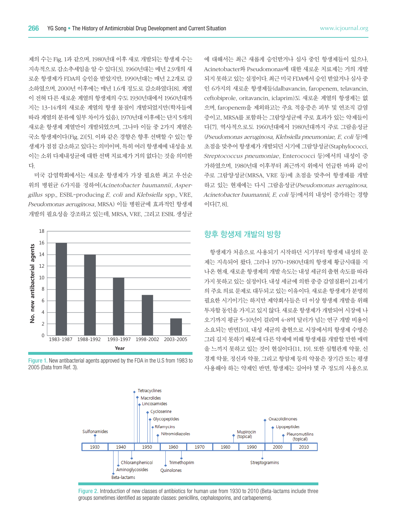제의 수는 Fig. 1과 같으며, 1980년대 이후 새로 개발되는 항생제 수는 지속적으로 감소추세임을 알 수 있다[3]. 1960년대는 매년 2.9개의 새 로운 항생제가 FDA의 승인을 받았지만, 1990년대는 매년 2.2개로 감 소하였으며, 2000년 이후에는 매년 1.6개 정도로 감소하였다[8]. 계열 이 전혀 다른 새로운 계열의 항생제의 수도 1930년대에서 1960년대까 지는 13-14개의 새로운 계열의 항생 물질이 개발되었지만(학자들에 따라 계열의 분류에 일부 차이가 있음), 1970년대 이후에는 단지 5개의 새로운 항생제 계열만이 개발되었으며, 그나마 이들 중 2가지 계열은 국소 항생제이다(Fig. 2)[5]. 이와 같은 경향은 향후 선택할 수 있는 항 생제가 점점 감소하고 있다는 의미이며, 특히 여러 항생제에 내성을 보 이는 소위 다제내성균에 대한 선택 치료제가 거의 없다는 것을 의미한 다.

미국 감염학회에서는 새로운 항생제가 가장 필요한 최고 우선순 위의 병원균 6가지를 정하여(Acinetobacter baumannii, Aspergillus spp., ESBL-producing E. coli and Klebsiella spp., VRE, Pseudomonas aeruginosa, MRSA) 이들 병원균에 효과적인 항생제 개발의 필요성을 강조하고 있는데, MRSA, VRE, 그리고 ESBL 생성균



Figure 1. New antibacterial agents approved by the FDA in the U.S from 1983 to 2005 (Data from Ref. 3).

에 대해서는 최근 새롭게 승인받거나 심사 중인 항생제들이 있으나, Acinetobacter와 Pseudomonas에 대한 새로운 치료제는 거의 개발 되지 못하고 있는 실정이다. 최근 미국 FDA에서 승인 받았거나 심사 중 인 6가지의 새로운 항생제들(dalbavancin, faropenem, telavancin, ceftobiprole, oritavancin, iclaprim)도 새로운 계열의 항생제는 없 으며, faropenem을 제외하고는 주요 적응증은 피부 및 연조직 감염 증이고, MRSA를 포함하는 그람양성균에 주로 효과가 있는 약제들이 다[7]. 역사적으로도 1960년대에서 1980년대까지 주로 그람음성균 (Pseudomonas aeruginosa, Klebsiella pneumoniae, E. coli 등)에 초점을 맞추어 항생제가 개발되던 시기에 그람양성균(Staphylococci, Streptococcus pneumoniae, Enterococci 등)에서의 내성이 증 가하였으며, 1980년대 이후부터 최근까지 위에서 언급한 바와 같이 주로 그람양성균(MRSA, VRE 등)에 초점을 맞추어 항생제를 개발 하고 있는 현재에는 다시 그람음성균(Pseudomonas aeruginosa, Acinetobacter baumannii, E. coli 등)에서의 내성이 증가하는 경향 이다[7, 8].

#### 향후 항생제 개발의 방향

항생제가 처음으로 사용되기 시작하던 시기부터 항생제 내성의 문 제는 지속되어 왔다. 그러나 1970-1980년대의 항생제 황금시대를 지 나온 현재, 새로운 항생제의 개발 속도는 내성 세균의 출현 속도를 따라 가지 못하고 있는 실정이다. 내성 세균에 의한 중증 감염질환이 21세기 의 주요 의료 문제로 대두되고 있는 이유이다. 새로운 항생제가 분명히 필요한 시기이기는 하지만 제약회사들은 더 이상 항생제 개발을 위해 투자할 동인을 가지고 있지 않다. 새로운 항생제가 개발되어 시장에 나 오기까지 평균 5-10년이 걸리며 4-8억 달러가 넘는 연구 개발 비용이 소요되는 반면[10], 내성 세균의 출현으로 시장에서의 항생제 수명은 그리 길지 못하기 때문에 다른 약제에 비해 항생제를 개발할 만한 매력 을 느끼지 못하고 있는 것이 현실이다[11, 19]. 또한 심혈관계 약물, 신 경계 약물, 정신과 약물, 그리고 항암제 등의 약물은 장기간 또는 평생 사용해야 하는 약제인 반면, 항생제는 길어야 몇 주 정도의 사용으로



Figure 2. Introduction of new classes of antibiotics for human use from 1930 to 2010 (Beta-lactams include three groups sometimes identified as separate classes: penicillins, cephalosporins, and carbapenems).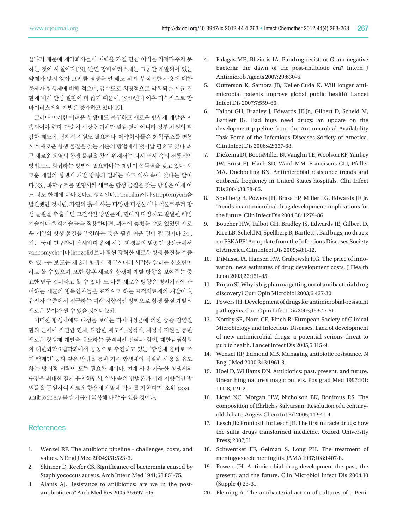끝나기 때문에 제약회사들이 매력을 가질 만큼 이익을 가져다주지 못 하는 것이 사실이다[19]. 반면 항바이러스제는 그동안 개발되어 있는 약제가 많지 않아 그만큼 경쟁을 덜 해도 되며, 부적절한 사용에 대한 문제가 항생제에 비해 적으며, 급속도로 치명적으로 악화되는 세균 질 환에 비해 만성 질환이 더 많기 때문에, 1980년대 이후 지속적으로 항 바이러스제의 개발은 증가하고 있다[19].

그러나 이러한 어려운 상황에도 불구하고 새로운 항생제 개발은 지 속되어야 한다. 단순히 시장 논리에만 맡길 것이 아니라 정부 차원의 과 감한 제도적, 정책적 지원도 필요하다. 제약회사들은 화학구조를 변형 시켜 새로운 항생 물질을 찾는 기존의 방법에서 벗어날 필요도 있다. 최 근 새로운 계열의 항생 물질을 찾기 위해서는 다시 역사 속의 전통적인 방법으로 회귀하는 방법이 필요하다는 제안이 설득력을 갖고 있다. 새 로운 계열의 항생제 개발 방향의 열쇠는 바로 역사 속에 있다는 말이 다[23]. 화학구조를 변형시켜 새로운 항생 물질을 찾는 방법은 이제 어 느 정도 한계에 다다랐다고 생각된다. Penicillin이나 streptomycin을 발견했던 것처럼, 자연의 흙에 사는 다양한 미생물이나 식물로부터 항 생 물질을 추출하던 고전적인 방법론에, 현대의 다양하고 발달된 배양 기술이나 화학기술들을 적용한다면, 과거에 놓쳤을 수도 있었던 새로 운 계열의 항생 물질을 발견하는 것은 훨씬 쉬운 일이 될 것이다[24]. 최근 국내 연구진이 남해바다 흙에 사는 미생물의 일종인 방선균에서 vancomycin이나 linezolid 보다 훨씬 강력한 새로운 항생 물질을 추출 해 냈다는 보도는 제 2의 항생제 황금시대의 서막을 알리는 신호탄이 라고 할 수 있으며, 또한 향후 새로운 항생제 개발 방향을 보여주는 중 요한 연구 결과라고 할 수 있다. 또 다른 새로운 방향은 병인기전에 관 여하는 세균의 병독인자들을 표적으로 하는 표적치료제의 개발이다. 유전자 수준에서 접근하는 미래 지향적인 방법으로 항생 물질 개발의 새로운 분야가 될 수 있을 것이다[25].

어떠한 항생제에도 내성을 보이는 다제내성균에 의한 중증 감염질 환의 문제에 직면한 현재, 과감한 제도적, 정책적, 재정적 지원을 통한 새로운 항생제 개발을 유도하는 공격적인 전략과 함께, 대한감염학회 와 대한화학요법학회에서 공동으로 추진하고 있는 '항생제 올바로 쓰 기 캠페인' 등과 같은 방법을 통한 기존 항생제의 적절한 사용을 유도 하는 방어적 전략이 모두 필요한 때이다. 현재 사용 가능한 항생제의 수명을 최대한 길게 유지하면서, 역사 속의 방법론과 미래 지향적인 방 법들을 동원하여 새로운 항생제 개발에 박차를 가한다면, 소위 'postantibiotic era'를 슬기롭게 극복해 나갈 수 있을 것이다.

#### **References**

- 1. Wenzel RP. The antibiotic pipeline challenges, costs, and values. N Engl J Med 2004;351:523-6.
- 2. Skinner D, Keefer CS. Significance of bacteremia caused by Staphlyococcus aureus. Arch Intern Med 1941;68:851-75.
- 3. Alanis AJ. Resistance to antibiotics: are we in the postantibiotic era? Arch Med Res 2005;36:697-705.
- 4. Falagas ME, Bliziotis IA. Pandrug-resistant Gram-negative bacteria: the dawn of the post-antibiotic era? Intern J Antimicrob Agents 2007;29:630-6.
- 5. Outterson K, Samora JB, Keller-Cuda K. Will longer antimicrobial patents improve global public health? Lancet Infect Dis 2007;7:559-66.
- 6. Talbot GH, Bradley J, Edwards JE Jr., Gilbert D, Scheld M, Bartlett JG. Bad bugs need drugs: an update on the development pipeline from the Antimicrobial Availability Task Force of the Infectious Diseases Society of America. Clin Infect Dis 2006;42:657-68.
- 7. Diekema DJ, BootsMiller BJ, Vaughn TE, Woolson RF, Yankey JW, Ernst EJ, Flach SD, Ward MM, Franciscus CLJ, Pfaller MA, Doebbeling BN. Antimicrobial resistance trends and outbreak frequency in United States hospitals. Clin Infect Dis 2004;38:78-85.
- 8. Spellberg B, Powers JH, Brass EP, Miller LG, Edwards JE Jr. Trends in antimicrobial drug development: implications for the future. Clin Infect Dis 2004;38: 1279-86.
- 9. Boucher HW, Talbot GH, Bradley JS, Edwards JE, Gilbert D, Rice LB, Scheld M, Spellberg B, Bartlett J. Bad bugs, no drugs: no ESKAPE! An update from the Infectious Diseases Society of America. Clin Infect Dis 2009;48:1-12.
- 10. DiMassa JA, Hansen RW, Grabowski HG. The price of innovation: new estimates of drug development costs. J Health Econ 2003;22:151-85.
- 11. Projan SJ. Why is big pharma getting out of antibacterial drug discovery? Curr Opin Microbiol 2003;6:427-30.
- 12. Powers JH. Development of drugs for antimicrobial-resistant pathogens. Curr Opin Infect Dis 2003;16:547-51.
- 13. Norrby SR, Nord CE, Finch R; European Society of Clinical Microbiology and Infectious Diseases. Lack of development of new antimicrobial drugs: a potential serious threat to public health. Lancet Infect Dis 2005;5:115-9.
- 14. Wenzel RP, Edmond MB. Managing antibiotic resistance. N Engl J Med 2000;343:1961-3.
- 15. Hoel D, Williams DN. Antibiotics: past, present, and future. Unearthing nature's magic bullets. Postgrad Med 1997;101: 114-8, 121-2.
- 16. Lloyd NC, Morgan HW, Nicholson BK, Ronimus RS. The composition of Ehrlich's Salvarsan: Resolution of a centuryold debate. Angew Chem Int Ed 2005;44:941-4.
- 17. Lesch JE: Prontosil. In: Lesch JE. The first miracle drugs: how the sulfa drugs transformed medicine. Oxford University Press; 2007;51
- 18. Schwentker FF, Gelman S, Long PH. The treatment of meningococcic meningitis. JAMA 1937;108:1407-8.
- 19. Powers JH. Antimicrobial drug development-the past, the present, and the future. Clin Microbiol Infect Dis 2004;10 (Supple 4):23-31.
- 20. Fleming A. The antibacterial action of cultures of a Peni-